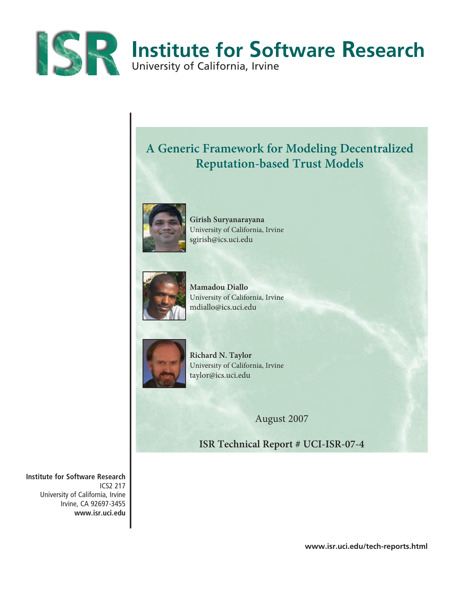

# **A Generic Framework for Modeling Decentralized Reputation-based Trust Models**



**Girish Suryanarayana**  University of California, Irvine sgirish@ics.uci.edu



**Mamadou Diallo**  University of California, Irvine mdiallo@ics.uci.edu



**Richard N. Taylor** University of California, Irvine taylor@ics.uci.edu

August 2007

**ISR Technical Report # UCI-ISR-07-4**

**Institute for Software Research** ICS2 217 University of California, Irvine Irvine, CA 92697-3455 **www.isr.uci.edu**

**www.isr.uci.edu/tech-reports.html**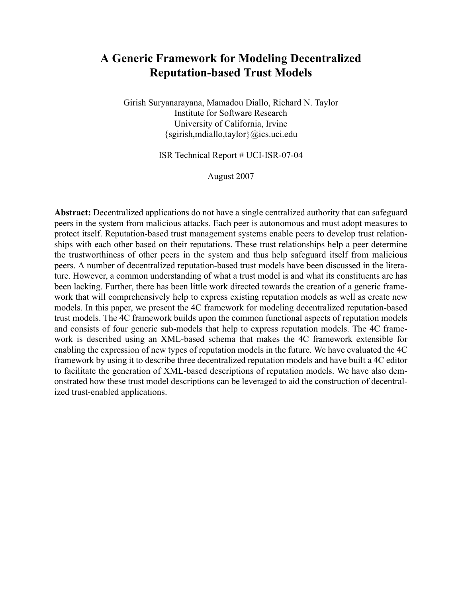# **A Generic Framework for Modeling Decentralized Reputation-based Trust Models**

Girish Suryanarayana, Mamadou Diallo, Richard N. Taylor Institute for Software Research University of California, Irvine {sgirish,mdiallo,taylor}@ics.uci.edu

ISR Technical Report # UCI-ISR-07-04

August 2007

**Abstract:** Decentralized applications do not have a single centralized authority that can safeguard peers in the system from malicious attacks. Each peer is autonomous and must adopt measures to protect itself. Reputation-based trust management systems enable peers to develop trust relationships with each other based on their reputations. These trust relationships help a peer determine the trustworthiness of other peers in the system and thus help safeguard itself from malicious peers. A number of decentralized reputation-based trust models have been discussed in the literature. However, a common understanding of what a trust model is and what its constituents are has been lacking. Further, there has been little work directed towards the creation of a generic framework that will comprehensively help to express existing reputation models as well as create new models. In this paper, we present the 4C framework for modeling decentralized reputation-based trust models. The 4C framework builds upon the common functional aspects of reputation models and consists of four generic sub-models that help to express reputation models. The 4C framework is described using an XML-based schema that makes the 4C framework extensible for enabling the expression of new types of reputation models in the future. We have evaluated the 4C framework by using it to describe three decentralized reputation models and have built a 4C editor to facilitate the generation of XML-based descriptions of reputation models. We have also demonstrated how these trust model descriptions can be leveraged to aid the construction of decentralized trust-enabled applications.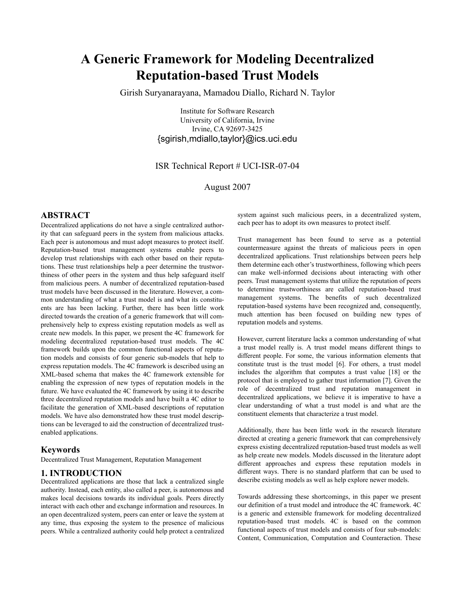# **A Generic Framework for Modeling Decentralized Reputation-based Trust Models**

Girish Suryanarayana, Mamadou Diallo, Richard N. Taylor

Institute for Software Research University of California, Irvine Irvine, CA 92697-3425 {sgirish,mdiallo,taylor}@ics.uci.edu

# ISR Technical Report # UCI-ISR-07-04

August 2007

## **ABSTRACT**

Decentralized applications do not have a single centralized authority that can safeguard peers in the system from malicious attacks. Each peer is autonomous and must adopt measures to protect itself. Reputation-based trust management systems enable peers to develop trust relationships with each other based on their reputations. These trust relationships help a peer determine the trustworthiness of other peers in the system and thus help safeguard itself from malicious peers. A number of decentralized reputation-based trust models have been discussed in the literature. However, a common understanding of what a trust model is and what its constituents are has been lacking. Further, there has been little work directed towards the creation of a generic framework that will comprehensively help to express existing reputation models as well as create new models. In this paper, we present the 4C framework for modeling decentralized reputation-based trust models. The 4C framework builds upon the common functional aspects of reputation models and consists of four generic sub-models that help to express reputation models. The 4C framework is described using an XML-based schema that makes the 4C framework extensible for enabling the expression of new types of reputation models in the future. We have evaluated the 4C framework by using it to describe three decentralized reputation models and have built a 4C editor to facilitate the generation of XML-based descriptions of reputation models. We have also demonstrated how these trust model descriptions can be leveraged to aid the construction of decentralized trustenabled applications.

## **Keywords**

Decentralized Trust Management, Reputation Management

# **1. INTRODUCTION**

Decentralized applications are those that lack a centralized single authority. Instead, each entity, also called a peer, is autonomous and makes local decisions towards its individual goals. Peers directly interact with each other and exchange information and resources. In an open decentralized system, peers can enter or leave the system at any time, thus exposing the system to the presence of malicious peers. While a centralized authority could help protect a centralized system against such malicious peers, in a decentralized system, each peer has to adopt its own measures to protect itself.

Trust management has been found to serve as a potential countermeasure against the threats of malicious peers in open decentralized applications. Trust relationships between peers help them determine each other's trustworthiness, following which peers can make well-informed decisions about interacting with other peers. Trust management systems that utilize the reputation of peers to determine trustworthiness are called reputation-based trust management systems. The benefits of such decentralized reputation-based systems have been recognized and, consequently, much attention has been focused on building new types of reputation models and systems.

However, current literature lacks a common understanding of what a trust model really is. A trust model means different things to different people. For some, the various information elements that constitute trust is the trust model [6]. For others, a trust model includes the algorithm that computes a trust value [18] or the protocol that is employed to gather trust information [7]. Given the role of decentralized trust and reputation management in decentralized applications, we believe it is imperative to have a clear understanding of what a trust model is and what are the constituent elements that characterize a trust model.

Additionally, there has been little work in the research literature directed at creating a generic framework that can comprehensively express existing decentralized reputation-based trust models as well as help create new models. Models discussed in the literature adopt different approaches and express these reputation models in different ways. There is no standard platform that can be used to describe existing models as well as help explore newer models.

Towards addressing these shortcomings, in this paper we present our definition of a trust model and introduce the 4C framework. 4C is a generic and extensible framework for modeling decentralized reputation-based trust models. 4C is based on the common functional aspects of trust models and consists of four sub-models: Content, Communication, Computation and Counteraction. These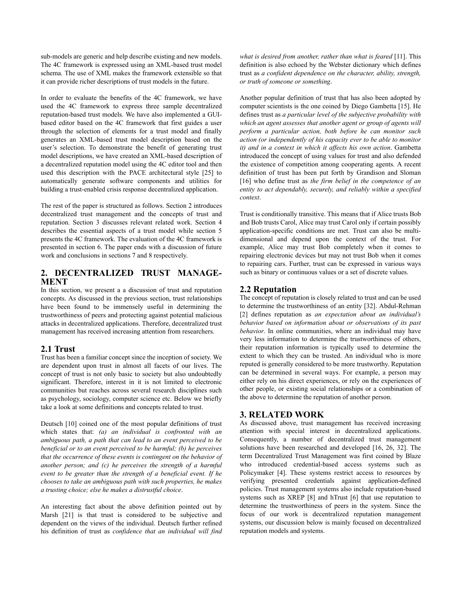sub-models are generic and help describe existing and new models. The 4C framework is expressed using an XML-based trust model schema. The use of XML makes the framework extensible so that it can provide richer descriptions of trust models in the future.

In order to evaluate the benefits of the 4C framework, we have used the 4C framework to express three sample decentralized reputation-based trust models. We have also implemented a GUIbased editor based on the 4C framework that first guides a user through the selection of elements for a trust model and finally generates an XML-based trust model description based on the user's selection. To demonstrate the benefit of generating trust model descriptions, we have created an XML-based description of a decentralized reputation model using the 4C editor tool and then used this description with the PACE architectural style [25] to automatically generate software components and utilities for building a trust-enabled crisis response decentralized application.

The rest of the paper is structured as follows. Section 2 introduces decentralized trust management and the concepts of trust and reputation. Section 3 discusses relevant related work. Section 4 describes the essential aspects of a trust model while section 5 presents the 4C framework. The evaluation of the 4C framework is presented in section 6. The paper ends with a discussion of future work and conclusions in sections 7 and 8 respectively.

# **2. DECENTRALIZED TRUST MANAGE-MENT**

In this section, we present a a discussion of trust and reputation concepts. As discussed in the previous section, trust relationships have been found to be immensely useful in determining the trustworthiness of peers and protecting against potential malicious attacks in decentralized applications. Therefore, decentralized trust management has received increasing attention from researchers.

## **2.1 Trust**

Trust has been a familiar concept since the inception of society. We are dependent upon trust in almost all facets of our lives. The concept of trust is not only basic to society but also undoubtedly significant. Therefore, interest in it is not limited to electronic communities but reaches across several research disciplines such as psychology, sociology, computer science etc. Below we briefly take a look at some definitions and concepts related to trust.

Deutsch [10] coined one of the most popular definitions of trust which states that: *(a) an individual is confronted with an ambiguous path, a path that can lead to an event perceived to be beneficial or to an event perceived to be harmful; (b) he perceives that the occurrence of these events is contingent on the behavior of another person; and (c) he perceives the strength of a harmful event to be greater than the strength of a beneficial event. If he chooses to take an ambiguous path with such properties, he makes a trusting choice; else he makes a distrustful choice*.

An interesting fact about the above definition pointed out by Marsh [21] is that trust is considered to be subjective and dependent on the views of the individual. Deutsch further refined his definition of trust as *confidence that an individual will find* *what is desired from another, rather than what is feared* [11]. This definition is also echoed by the Webster dictionary which defines trust as *a confident dependence on the character, ability, strength, or truth of someone or something*.

Another popular definition of trust that has also been adopted by computer scientists is the one coined by Diego Gambetta [15]. He defines trust as *a particular level of the subjective probability with which an agent assesses that another agent or group of agents will perform a particular action, both before he can monitor such action (or independently of his capacity ever to be able to monitor it) and in a context in which it affects his own action*. Gambetta introduced the concept of using values for trust and also defended the existence of competition among cooperating agents. A recent definition of trust has been put forth by Grandison and Sloman [16] who define trust as *the firm belief in the competence of an entity to act dependably, securely, and reliably within a specified context*.

Trust is conditionally transitive. This means that if Alice trusts Bob and Bob trusts Carol, Alice may trust Carol only if certain possibly application-specific conditions are met. Trust can also be multidimensional and depend upon the context of the trust. For example, Alice may trust Bob completely when it comes to repairing electronic devices but may not trust Bob when it comes to repairing cars. Further, trust can be expressed in various ways such as binary or continuous values or a set of discrete values.

# **2.2 Reputation**

The concept of reputation is closely related to trust and can be used to determine the trustworthiness of an entity [32]. Abdul-Rehman [2] defines reputation as *an expectation about an individual's behavior based on information about or observations of its past behavior*. In online communities, where an individual may have very less information to determine the trustworthiness of others, their reputation information is typically used to determine the extent to which they can be trusted. An individual who is more reputed is generally considered to be more trustworthy. Reputation can be determined in several ways. For example, a person may either rely on his direct experiences, or rely on the experiences of other people, or existing social relationships or a combination of the above to determine the reputation of another person.

# **3. RELATED WORK**

As discussed above, trust management has received increasing attention with special interest in decentralized applications. Consequently, a number of decentralized trust management solutions have been researched and developed [16, 26, 32]. The term Decentralized Trust Management was first coined by Blaze who introduced credential-based access systems such as Policymaker [4]. These systems restrict access to resources by verifying presented credentials against application-defined policies. Trust management systems also include reputation-based systems such as XREP [8] and hTrust [6] that use reputation to determine the trustworthiness of peers in the system. Since the focus of our work is decentralized reputation management systems, our discussion below is mainly focused on decentralized reputation models and systems.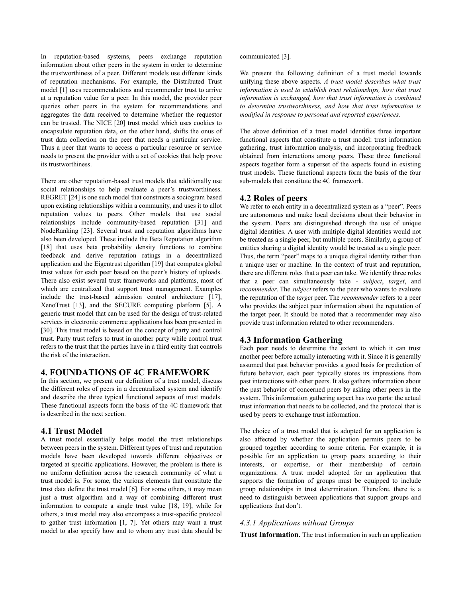In reputation-based systems, peers exchange reputation information about other peers in the system in order to determine the trustworthiness of a peer. Different models use different kinds of reputation mechanisms. For example, the Distributed Trust model [1] uses recommendations and recommender trust to arrive at a reputation value for a peer. In this model, the provider peer queries other peers in the system for recommendations and aggregates the data received to determine whether the requestor can be trusted. The NICE [20] trust model which uses cookies to encapsulate reputation data, on the other hand, shifts the onus of trust data collection on the peer that needs a particular service. Thus a peer that wants to access a particular resource or service needs to present the provider with a set of cookies that help prove its trustworthiness.

There are other reputation-based trust models that additionally use social relationships to help evaluate a peer's trustworthiness. REGRET [24] is one such model that constructs a sociogram based upon existing relationships within a community, and uses it to allot reputation values to peers. Other models that use social relationships include community-based reputation [31] and NodeRanking [23]. Several trust and reputation algorithms have also been developed. These include the Beta Reputation algorithm [18] that uses beta probability density functions to combine feedback and derive reputation ratings in a decentralized application and the Eigentrust algorithm [19] that computes global trust values for each peer based on the peer's history of uploads. There also exist several trust frameworks and platforms, most of which are centralized that support trust management. Examples include the trust-based admission control architecture [17], XenoTrust [13], and the SECURE computing platform [5]. A generic trust model that can be used for the design of trust-related services in electronic commerce applications has been presented in [30]. This trust model is based on the concept of party and control trust. Party trust refers to trust in another party while control trust refers to the trust that the parties have in a third entity that controls the risk of the interaction.

# **4. FOUNDATIONS OF 4C FRAMEWORK**

In this section, we present our definition of a trust model, discuss the different roles of peers in a decentralized system and identify and describe the three typical functional aspects of trust models. These functional aspects form the basis of the 4C framework that is described in the next section.

#### **4.1 Trust Model**

A trust model essentially helps model the trust relationships between peers in the system. Different types of trust and reputation models have been developed towards different objectives or targeted at specific applications. However, the problem is there is no uniform definition across the research community of what a trust model is. For some, the various elements that constitute the trust data define the trust model [6]. For some others, it may mean just a trust algorithm and a way of combining different trust information to compute a single trust value [18, 19], while for others, a trust model may also encompass a trust-specific protocol to gather trust information [1, 7]. Yet others may want a trust model to also specify how and to whom any trust data should be

communicated [3].

We present the following definition of a trust model towards unifying these above aspects. *A trust model describes what trust information is used to establish trust relationships, how that trust information is exchanged, how that trust information is combined to determine trustworthiness, and how that trust information is modified in response to personal and reported experiences.*

The above definition of a trust model identifies three important functional aspects that constitute a trust model: trust information gathering, trust information analysis, and incorporating feedback obtained from interactions among peers. These three functional aspects together form a superset of the aspects found in existing trust models. These functional aspects form the basis of the four sub-models that constitute the 4C framework.

## **4.2 Roles of peers**

We refer to each entity in a decentralized system as a "peer". Peers are autonomous and make local decisions about their behavior in the system. Peers are distinguished through the use of unique digital identities. A user with multiple digital identities would not be treated as a single peer, but multiple peers. Similarly, a group of entities sharing a digital identity would be treated as a single peer. Thus, the term "peer" maps to a unique digital identity rather than a unique user or machine. In the context of trust and reputation, there are different roles that a peer can take. We identify three roles that a peer can simultaneously take - *subject*, *target*, and *recommender*. The *subject* refers to the peer who wants to evaluate the reputation of the *target* peer. The *recommender* refers to a peer who provides the subject peer information about the reputation of the target peer. It should be noted that a recommender may also provide trust information related to other recommenders.

#### **4.3 Information Gathering**

Each peer needs to determine the extent to which it can trust another peer before actually interacting with it. Since it is generally assumed that past behavior provides a good basis for prediction of future behavior, each peer typically stores its impressions from past interactions with other peers. It also gathers information about the past behavior of concerned peers by asking other peers in the system. This information gathering aspect has two parts: the actual trust information that needs to be collected, and the protocol that is used by peers to exchange trust information.

The choice of a trust model that is adopted for an application is also affected by whether the application permits peers to be grouped together according to some criteria. For example, it is possible for an application to group peers according to their interests, or expertise, or their membership of certain organizations. A trust model adopted for an application that supports the formation of groups must be equipped to include group relationships in trust determination. Therefore, there is a need to distinguish between applications that support groups and applications that don't.

#### *4.3.1 Applications without Groups*

**Trust Information.** The trust information in such an application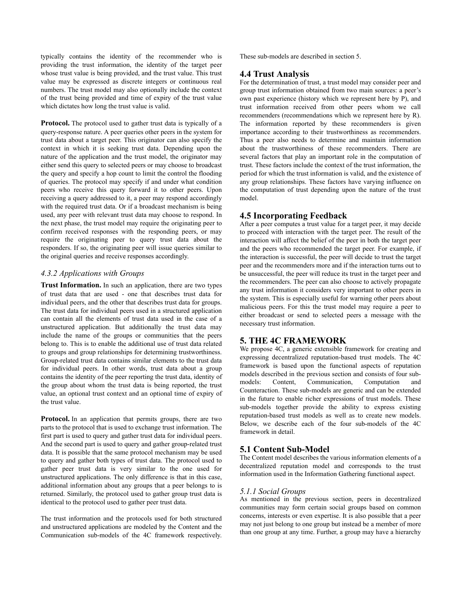typically contains the identity of the recommender who is providing the trust information, the identity of the target peer whose trust value is being provided, and the trust value. This trust value may be expressed as discrete integers or continuous real numbers. The trust model may also optionally include the context of the trust being provided and time of expiry of the trust value which dictates how long the trust value is valid.

**Protocol.** The protocol used to gather trust data is typically of a query-response nature. A peer queries other peers in the system for trust data about a target peer. This originator can also specify the context in which it is seeking trust data. Depending upon the nature of the application and the trust model, the originator may either send this query to selected peers or may choose to broadcast the query and specify a hop count to limit the control the flooding of queries. The protocol may specify if and under what condition peers who receive this query forward it to other peers. Upon receiving a query addressed to it, a peer may respond accordingly with the required trust data. Or if a broadcast mechanism is being used, any peer with relevant trust data may choose to respond. In the next phase, the trust model may require the originating peer to confirm received responses with the responding peers, or may require the originating peer to query trust data about the responders. If so, the originating peer will issue queries similar to the original queries and receive responses accordingly.

## *4.3.2 Applications with Groups*

**Trust Information.** In such an application, there are two types of trust data that are used - one that describes trust data for individual peers, and the other that describes trust data for groups. The trust data for individual peers used in a structured application can contain all the elements of trust data used in the case of a unstructured application. But additionally the trust data may include the name of the groups or communities that the peers belong to. This is to enable the additional use of trust data related to groups and group relationships for determining trustworthiness. Group-related trust data contains similar elements to the trust data for individual peers. In other words, trust data about a group contains the identity of the peer reporting the trust data, identity of the group about whom the trust data is being reported, the trust value, an optional trust context and an optional time of expiry of the trust value.

Protocol. In an application that permits groups, there are two parts to the protocol that is used to exchange trust information. The first part is used to query and gather trust data for individual peers. And the second part is used to query and gather group-related trust data. It is possible that the same protocol mechanism may be used to query and gather both types of trust data. The protocol used to gather peer trust data is very similar to the one used for unstructured applications. The only difference is that in this case, additional information about any groups that a peer belongs to is returned. Similarly, the protocol used to gather group trust data is identical to the protocol used to gather peer trust data.

The trust information and the protocols used for both structured and unstructured applications are modeled by the Content and the Communication sub-models of the 4C framework respectively.

These sub-models are described in section 5.

## **4.4 Trust Analysis**

For the determination of trust, a trust model may consider peer and group trust information obtained from two main sources: a peer's own past experience (history which we represent here by P), and trust information received from other peers whom we call recommenders (recommendations which we represent here by R). The information reported by these recommenders is given importance according to their trustworthiness as recommenders. Thus a peer also needs to determine and maintain information about the trustworthiness of these recommenders. There are several factors that play an important role in the computation of trust. These factors include the context of the trust information, the period for which the trust information is valid, and the existence of any group relationships. These factors have varying influence on the computation of trust depending upon the nature of the trust model.

# **4.5 Incorporating Feedback**

After a peer computes a trust value for a target peer, it may decide to proceed with interaction with the target peer. The result of the interaction will affect the belief of the peer in both the target peer and the peers who recommended the target peer. For example, if the interaction is successful, the peer will decide to trust the target peer and the recommenders more and if the interaction turns out to be unsuccessful, the peer will reduce its trust in the target peer and the recommenders. The peer can also choose to actively propagate any trust information it considers very important to other peers in the system. This is especially useful for warning other peers about malicious peers. For this the trust model may require a peer to either broadcast or send to selected peers a message with the necessary trust information.

## **5. THE 4C FRAMEWORK**

We propose 4C, a generic extensible framework for creating and expressing decentralized reputation-based trust models. The 4C framework is based upon the functional aspects of reputation models described in the previous section and consists of four submodels: Content, Communication, Computation and Counteraction. These sub-models are generic and can be extended in the future to enable richer expressions of trust models. These sub-models together provide the ability to express existing reputation-based trust models as well as to create new models. Below, we describe each of the four sub-models of the 4C framework in detail.

# **5.1 Content Sub-Model**

The Content model describes the various information elements of a decentralized reputation model and corresponds to the trust information used in the Information Gathering functional aspect.

#### *5.1.1 Social Groups*

As mentioned in the previous section, peers in decentralized communities may form certain social groups based on common concerns, interests or even expertise. It is also possible that a peer may not just belong to one group but instead be a member of more than one group at any time. Further, a group may have a hierarchy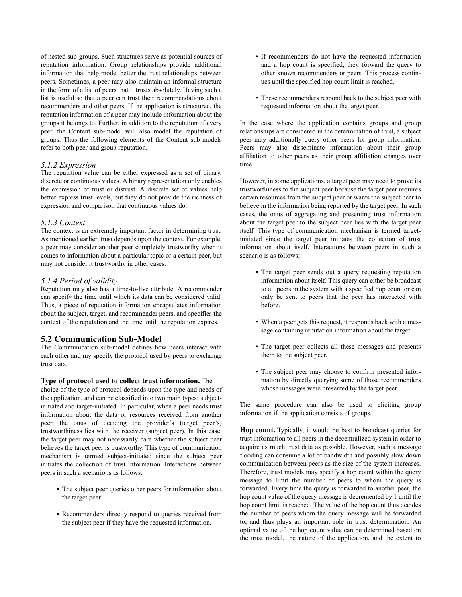of nested sub-groups. Such structures serve as potential sources of reputation information. Group relationships provide additional information that help model better the trust relationships between peers. Sometimes, a peer may also maintain an informal structure in the form of a list of peers that it trusts absolutely. Having such a list is useful so that a peer can trust their recommendations about recommenders and other peers. If the application is structured, the reputation information of a peer may include information about the groups it belongs to. Further, in addition to the reputation of every peer, the Content sub-model will also model the reputation of groups. Thus the following elements of the Content sub-models refer to both peer and group reputation.

#### *5.1.2 Expression*

The reputation value can be either expressed as a set of binary, discrete or continuous values. A binary representation only enables the expression of trust or distrust. A discrete set of values help better express trust levels, but they do not provide the richness of expression and comparison that continuous values do.

#### *5.1.3 Context*

The context is an extremely important factor in determining trust. As mentioned earlier, trust depends upon the context. For example, a peer may consider another peer completely trustworthy when it comes to information about a particular topic or a certain peer, but may not consider it trustworthy in other cases.

#### *5.1.4 Period of validity*

Reputation may also has a time-to-live attribute. A recommender can specify the time until which its data can be considered valid. Thus, a piece of reputation information encapsulates information about the subject, target, and recommender peers, and specifies the context of the reputation and the time until the reputation expires.

#### **5.2 Communication Sub-Model**

The Communication sub-model defines how peers interact with each other and my specify the protocol used by peers to exchange trust data.

## **Type of protocol used to collect trust information.** The

choice of the type of protocol depends upon the type and needs of the application, and can be classified into two main types: subjectinitiated and target-initiated. In particular, when a peer needs trust information about the data or resources received from another peer, the onus of deciding the provider's (target peer's) trustworthiness lies with the receiver (subject peer). In this case, the target peer may not necessarily care whether the subject peer believes the target peer is trustworthy. This type of communication mechanism is termed subject-initiated since the subject peer initiates the collection of trust information. Interactions between peers in such a scenario is as follows:

- The subject peer queries other peers for information about the target peer.
- Recommenders directly respond to queries received from the subject peer if they have the requested information.
- If recommenders do not have the requested information and a hop count is specified, they forward the query to other known recommenders or peers. This process continues until the specified hop count limit is reached.
- These recommenders respond back to the subject peer with requested information about the target peer.

In the case where the application contains groups and group relationships are considered in the determination of trust, a subject peer may additionally query other peers for group information. Peers may also disseminate information about their group affiliation to other peers as their group affiliation changes over time.

However, in some applications, a target peer may need to prove its trustworthiness to the subject peer because the target peer requires certain resources from the subject peer or wants the subject peer to believe in the information being reported by the target peer. In such cases, the onus of aggregating and presenting trust information about the target peer to the subject peer lies with the target peer itself. This type of communication mechanism is termed targetinitiated since the target peer initiates the collection of trust information about itself. Interactions between peers in such a scenario is as follows:

- The target peer sends out a query requesting reputation information about itself. This query can either be broadcast to all peers in the system with a specified hop count or can only be sent to peers that the peer has interacted with before.
- When a peer gets this request, it responds back with a message containing reputation information about the target.
- The target peer collects all these messages and presents them to the subject peer.
- The subject peer may choose to confirm presented information by directly querying some of those recommenders whose messages were presented by the target peer.

The same procedure can also be used to eliciting group information if the application consists of groups.

**Hop count.** Typically, it would be best to broadcast queries for trust information to all peers in the decentralized system in order to acquire as much trust data as possible. However, such a message flooding can consume a lot of bandwidth and possibly slow down communication between peers as the size of the system increases. Therefore, trust models may specify a hop count within the query message to limit the number of peers to whom the query is forwarded. Every time the query is forwarded to another peer, the hop count value of the query message is decremented by 1 until the hop count limit is reached. The value of the hop count thus decides the number of peers whom the query message will be forwarded to, and thus plays an important role in trust determination. An optimal value of the hop count value can be determined based on the trust model, the nature of the application, and the extent to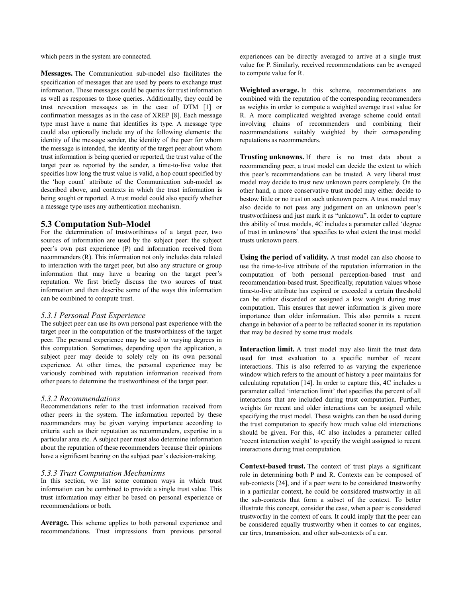which peers in the system are connected.

**Messages.** The Communication sub-model also facilitates the specification of messages that are used by peers to exchange trust information. These messages could be queries for trust information as well as responses to those queries. Additionally, they could be trust revocation messages as in the case of DTM [1] or confirmation messages as in the case of XREP [8]. Each message type must have a name that identifies its type. A message type could also optionally include any of the following elements: the identity of the message sender, the identity of the peer for whom the message is intended, the identity of the target peer about whom trust information is being queried or reported, the trust value of the target peer as reported by the sender, a time-to-live value that specifies how long the trust value is valid, a hop count specified by the 'hop count' attribute of the Communication sub-model as described above, and contexts in which the trust information is being sought or reported. A trust model could also specify whether a message type uses any authentication mechanism.

## **5.3 Computation Sub-Model**

For the determination of trustworthiness of a target peer, two sources of information are used by the subject peer: the subject peer's own past experience (P) and information received from recommenders (R). This information not only includes data related to interaction with the target peer, but also any structure or group information that may have a bearing on the target peer's reputation. We first briefly discuss the two sources of trust information and then describe some of the ways this information can be combined to compute trust.

#### *5.3.1 Personal Past Experience*

The subject peer can use its own personal past experience with the target peer in the computation of the trustworthiness of the target peer. The personal experience may be used to varying degrees in this computation. Sometimes, depending upon the application, a subject peer may decide to solely rely on its own personal experience. At other times, the personal experience may be variously combined with reputation information received from other peers to determine the trustworthiness of the target peer.

#### *5.3.2 Recommendations*

Recommendations refer to the trust information received from other peers in the system. The information reported by these recommenders may be given varying importance according to criteria such as their reputation as recommenders, expertise in a particular area etc. A subject peer must also determine information about the reputation of these recommenders because their opinions have a significant bearing on the subject peer's decision-making.

#### *5.3.3 Trust Computation Mechanisms*

In this section, we list some common ways in which trust information can be combined to provide a single trust value. This trust information may either be based on personal experience or recommendations or both.

**Average.** This scheme applies to both personal experience and recommendations. Trust impressions from previous personal experiences can be directly averaged to arrive at a single trust value for P. Similarly, received recommendations can be averaged to compute value for R.

**Weighted average.** In this scheme, recommendations are combined with the reputation of the corresponding recommenders as weights in order to compute a weighted average trust value for R. A more complicated weighted average scheme could entail involving chains of recommenders and combining their recommendations suitably weighted by their corresponding reputations as recommenders.

**Trusting unknowns.** If there is no trust data about a recommending peer, a trust model can decide the extent to which this peer's recommendations can be trusted. A very liberal trust model may decide to trust new unknown peers completely. On the other hand, a more conservative trust model may either decide to bestow little or no trust on such unknown peers. A trust model may also decide to not pass any judgement on an unknown peer's trustworthiness and just mark it as "unknown". In order to capture this ability of trust models, 4C includes a parameter called 'degree of trust in unknowns' that specifies to what extent the trust model trusts unknown peers.

**Using the period of validity.** A trust model can also choose to use the time-to-live attribute of the reputation information in the computation of both personal perception-based trust and recommendation-based trust. Specifically, reputation values whose time-to-live attribute has expired or exceeded a certain threshold can be either discarded or assigned a low weight during trust computation. This ensures that newer information is given more importance than older information. This also permits a recent change in behavior of a peer to be reflected sooner in its reputation that may be desired by some trust models.

**Interaction limit.** A trust model may also limit the trust data used for trust evaluation to a specific number of recent interactions. This is also referred to as varying the experience window which refers to the amount of history a peer maintains for calculating reputation [14]. In order to capture this, 4C includes a parameter called 'interaction limit' that specifies the percent of all interactions that are included during trust computation. Further, weights for recent and older interactions can be assigned while specifying the trust model. These weights can then be used during the trust computation to specify how much value old interactions should be given. For this, 4C also includes a parameter called 'recent interaction weight' to specify the weight assigned to recent interactions during trust computation.

**Context-based trust.** The context of trust plays a significant role in determining both P and R. Contexts can be composed of sub-contexts [24], and if a peer were to be considered trustworthy in a particular context, he could be considered trustworthy in all the sub-contexts that form a subset of the context. To better illustrate this concept, consider the case, when a peer is considered trustworthy in the context of cars. It could imply that the peer can be considered equally trustworthy when it comes to car engines, car tires, transmission, and other sub-contexts of a car.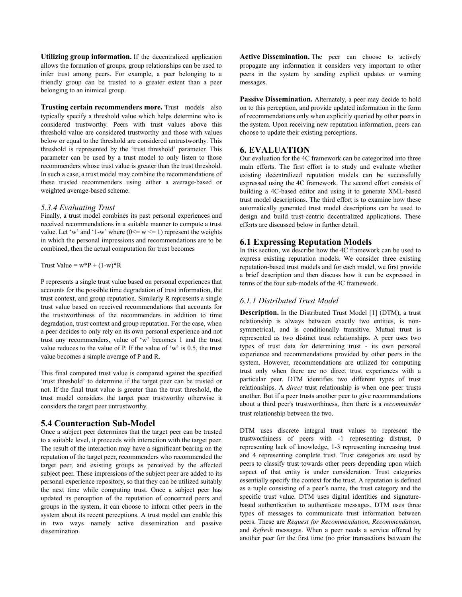**Utilizing group information.** If the decentralized application allows the formation of groups, group relationships can be used to infer trust among peers. For example, a peer belonging to a friendly group can be trusted to a greater extent than a peer belonging to an inimical group.

**Trusting certain recommenders more.** Trust models also typically specify a threshold value which helps determine who is considered trustworthy. Peers with trust values above this threshold value are considered trustworthy and those with values below or equal to the threshold are considered untrustworthy. This threshold is represented by the 'trust threshold' parameter. This parameter can be used by a trust model to only listen to those recommenders whose trust value is greater than the trust threshold. In such a case, a trust model may combine the recommendations of these trusted recommenders using either a average-based or weighted average-based scheme.

#### *5.3.4 Evaluating Trust*

Finally, a trust model combines its past personal experiences and received recommendations in a suitable manner to compute a trust value. Let 'w' and '1-w' where  $(0 \le w \le 1)$  represent the weights in which the personal impressions and recommendations are to be combined, then the actual computation for trust becomes

Trust Value =  $w^*P + (1-w)^*R$ 

P represents a single trust value based on personal experiences that accounts for the possible time degradation of trust information, the trust context, and group reputation. Similarly R represents a single trust value based on received recommendations that accounts for the trustworthiness of the recommenders in addition to time degradation, trust context and group reputation. For the case, when a peer decides to only rely on its own personal experience and not trust any recommenders, value of 'w' becomes 1 and the trust value reduces to the value of P. If the value of  $w$  is 0.5, the trust value becomes a simple average of P and R.

This final computed trust value is compared against the specified 'trust threshold' to determine if the target peer can be trusted or not. If the final trust value is greater than the trust threshold, the trust model considers the target peer trustworthy otherwise it considers the target peer untrustworthy.

## **5.4 Counteraction Sub-Model**

Once a subject peer determines that the target peer can be trusted to a suitable level, it proceeds with interaction with the target peer. The result of the interaction may have a significant bearing on the reputation of the target peer, recommenders who recommended the target peer, and existing groups as perceived by the affected subject peer. These impressions of the subject peer are added to its personal experience repository, so that they can be utilized suitably the next time while computing trust. Once a subject peer has updated its perception of the reputation of concerned peers and groups in the system, it can choose to inform other peers in the system about its recent perceptions. A trust model can enable this in two ways namely active dissemination and passive dissemination.

Active Dissemination. The peer can choose to actively propagate any information it considers very important to other peers in the system by sending explicit updates or warning messages.

Passive Dissemination. Alternately, a peer may decide to hold on to this perception, and provide updated information in the form of recommendations only when explicitly queried by other peers in the system. Upon receiving new reputation information, peers can choose to update their existing perceptions.

# **6. EVALUATION**

Our evaluation for the 4C framework can be categorized into three main efforts. The first effort is to study and evaluate whether existing decentralized reputation models can be successfully expressed using the 4C framework. The second effort consists of building a 4C-based editor and using it to generate XML-based trust model descriptions. The third effort is to examine how these automatically generated trust model descriptions can be used to design and build trust-centric decentralized applications. These efforts are discussed below in further detail.

# **6.1 Expressing Reputation Models**

In this section, we describe how the 4C framework can be used to express existing reputation models. We consider three existing reputation-based trust models and for each model, we first provide a brief description and then discuss how it can be expressed in terms of the four sub-models of the 4C framework.

## *6.1.1 Distributed Trust Model*

**Description.** In the Distributed Trust Model [1] (DTM), a trust relationship is always between exactly two entities, is nonsymmetrical, and is conditionally transitive. Mutual trust is represented as two distinct trust relationships. A peer uses two types of trust data for determining trust - its own personal experience and recommendations provided by other peers in the system. However, recommendations are utilized for computing trust only when there are no direct trust experiences with a particular peer. DTM identifies two different types of trust relationships. A *direct* trust relationship is when one peer trusts another. But if a peer trusts another peer to give recommendations about a third peer's trustworthiness, then there is a *recommender* trust relationship between the two.

DTM uses discrete integral trust values to represent the trustworthiness of peers with -1 representing distrust, 0 representing lack of knowledge, 1-3 representing increasing trust and 4 representing complete trust. Trust categories are used by peers to classify trust towards other peers depending upon which aspect of that entity is under consideration. Trust categories essentially specify the context for the trust. A reputation is defined as a tuple consisting of a peer's name, the trust category and the specific trust value. DTM uses digital identities and signaturebased authentication to authenticate messages. DTM uses three types of messages to communicate trust information between peers. These are *Request for Recommendation*, *Recommendation*, and *Refresh* messages. When a peer needs a service offered by another peer for the first time (no prior transactions between the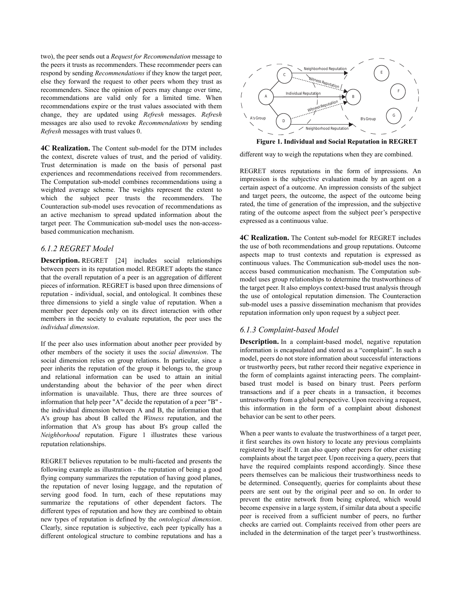two), the peer sends out a *Request for Recommendation* message to the peers it trusts as recommenders. These recommender peers can respond by sending *Recommendations* if they know the target peer, else they forward the request to other peers whom they trust as recommenders. Since the opinion of peers may change over time, recommendations are valid only for a limited time. When recommendations expire or the trust values associated with them change, they are updated using *Refresh* messages. *Refresh* messages are also used to revoke *Recommendations* by sending *Refresh* messages with trust values 0.

**4C Realization.** The Content sub-model for the DTM includes the context, discrete values of trust, and the period of validity. Trust determination is made on the basis of personal past experiences and recommendations received from recommenders. The Computation sub-model combines recommendations using a weighted average scheme. The weights represent the extent to which the subject peer trusts the recommenders. The Counteraction sub-model uses revocation of recommendations as an active mechanism to spread updated information about the target peer. The Communication sub-model uses the non-accessbased communication mechanism.

# *6.1.2 REGRET Model*

**Description.** REGRET [24] includes social relationships between peers in its reputation model. REGRET adopts the stance that the overall reputation of a peer is an aggregation of different pieces of information. REGRET is based upon three dimensions of reputation - individual, social, and ontological. It combines these three dimensions to yield a single value of reputation. When a member peer depends only on its direct interaction with other members in the society to evaluate reputation, the peer uses the *individual dimension*.

If the peer also uses information about another peer provided by other members of the society it uses the *social dimension*. The social dimension relies on group relations. In particular, since a peer inherits the reputation of the group it belongs to, the group and relational information can be used to attain an initial understanding about the behavior of the peer when direct information is unavailable. Thus, there are three sources of information that help peer "A" decide the reputation of a peer "B" the individual dimension between A and B, the information that A's group has about B called the *Witness* reputation, and the information that A's group has about B's group called the *Neighborhood* reputation. Figure 1 illustrates these various reputation relationships.

REGRET believes reputation to be multi-faceted and presents the following example as illustration - the reputation of being a good flying company summarizes the reputation of having good planes, the reputation of never losing luggage, and the reputation of serving good food. In turn, each of these reputations may summarize the reputations of other dependent factors. The different types of reputation and how they are combined to obtain new types of reputation is defined by the *ontological dimension*. Clearly, since reputation is subjective, each peer typically has a different ontological structure to combine reputations and has a



**Figure 1. Individual and Social Reputation in REGRET**

different way to weigh the reputations when they are combined.

REGRET stores reputations in the form of impressions. An impression is the subjective evaluation made by an agent on a certain aspect of a outcome. An impression consists of the subject and target peers, the outcome, the aspect of the outcome being rated, the time of generation of the impression, and the subjective rating of the outcome aspect from the subject peer's perspective expressed as a continuous value.

**4C Realization.** The Content sub-model for REGRET includes the use of both recommendations and group reputations. Outcome aspects map to trust contexts and reputation is expressed as continuous values. The Communication sub-model uses the nonaccess based communication mechanism. The Computation submodel uses group relationships to determine the trustworthiness of the target peer. It also employs context-based trust analysis through the use of ontological reputation dimension. The Counteraction sub-model uses a passive dissemination mechanism that provides reputation information only upon request by a subject peer.

## *6.1.3 Complaint-based Model*

**Description.** In a complaint-based model, negative reputation information is encapsulated and stored as a "complaint". In such a model, peers do not store information about successful interactions or trustworthy peers, but rather record their negative experience in the form of complaints against interacting peers. The complaintbased trust model is based on binary trust. Peers perform transactions and if a peer cheats in a transaction, it becomes untrustworthy from a global perspective. Upon receiving a request, this information in the form of a complaint about dishonest behavior can be sent to other peers.

When a peer wants to evaluate the trustworthiness of a target peer, it first searches its own history to locate any previous complaints registered by itself. It can also query other peers for other existing complaints about the target peer. Upon receiving a query, peers that have the required complaints respond accordingly. Since these peers themselves can be malicious their trustworthiness needs to be determined. Consequently, queries for complaints about these peers are sent out by the original peer and so on. In order to prevent the entire network from being explored, which would become expensive in a large system, if similar data about a specific peer is received from a sufficient number of peers, no further checks are carried out. Complaints received from other peers are included in the determination of the target peer's trustworthiness.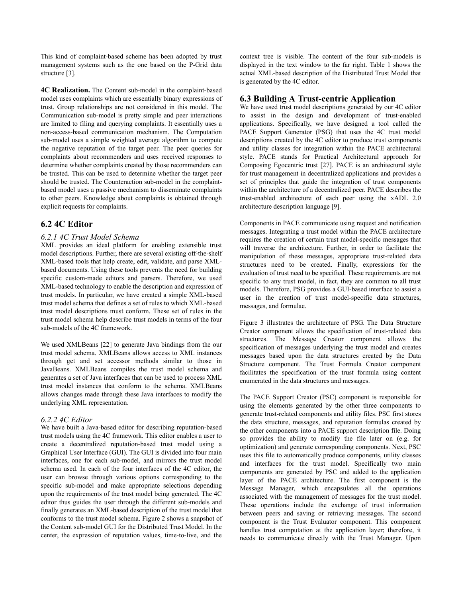This kind of complaint-based scheme has been adopted by trust management systems such as the one based on the P-Grid data structure [3].

**4C Realization.** The Content sub-model in the complaint-based model uses complaints which are essentially binary expressions of trust. Group relationships are not considered in this model. The Communication sub-model is pretty simple and peer interactions are limited to filing and querying complaints. It essentially uses a non-access-based communication mechanism. The Computation sub-model uses a simple weighted average algorithm to compute the negative reputation of the target peer. The peer queries for complaints about recommenders and uses received responses to determine whether complaints created by those recommenders can be trusted. This can be used to determine whether the target peer should be trusted. The Counteraction sub-model in the complaintbased model uses a passive mechanism to disseminate complaints to other peers. Knowledge about complaints is obtained through explicit requests for complaints.

# **6.2 4C Editor**

## *6.2.1 4C Trust Model Schema*

XML provides an ideal platform for enabling extensible trust model descriptions. Further, there are several existing off-the-shelf XML-based tools that help create, edit, validate, and parse XMLbased documents. Using these tools prevents the need for building specific custom-made editors and parsers. Therefore, we used XML-based technology to enable the description and expression of trust models. In particular, we have created a simple XML-based trust model schema that defines a set of rules to which XML-based trust model descriptions must conform. These set of rules in the trust model schema help describe trust models in terms of the four sub-models of the 4C framework.

We used XMLBeans [22] to generate Java bindings from the our trust model schema. XMLBeans allows access to XML instances through get and set accessor methods similar to those in JavaBeans. XMLBeans compiles the trust model schema and generates a set of Java interfaces that can be used to process XML trust model instances that conform to the schema. XMLBeans allows changes made through these Java interfaces to modify the underlying XML representation.

#### *6.2.2 4C Editor*

We have built a Java-based editor for describing reputation-based trust models using the 4C framework. This editor enables a user to create a decentralized reputation-based trust model using a Graphical User Interface (GUI). The GUI is divided into four main interfaces, one for each sub-model, and mirrors the trust model schema used. In each of the four interfaces of the 4C editor, the user can browse through various options corresponding to the specific sub-model and make appropriate selections depending upon the requirements of the trust model being generated. The 4C editor thus guides the user through the different sub-models and finally generates an XML-based description of the trust model that conforms to the trust model schema. Figure 2 shows a snapshot of the Content sub-model GUI for the Distributed Trust Model. In the center, the expression of reputation values, time-to-live, and the

context tree is visible. The content of the four sub-models is displayed in the text window to the far right. Table 1 shows the actual XML-based description of the Distributed Trust Model that is generated by the 4C editor.

### **6.3 Building A Trust-centric Application**

We have used trust model descriptions generated by our 4C editor to assist in the design and development of trust-enabled applications. Specifically, we have designed a tool called the PACE Support Generator (PSG) that uses the 4C trust model descriptions created by the 4C editor to produce trust components and utility classes for integration within the PACE architectural style. PACE stands for Practical Architectural approach for Composing Egocentric trust [27]. PACE is an architectural style for trust management in decentralized applications and provides a set of principles that guide the integration of trust components within the architecture of a decentralized peer. PACE describes the trust-enabled architecture of each peer using the xADL 2.0 architecture description language [9].

Components in PACE communicate using request and notification messages. Integrating a trust model within the PACE architecture requires the creation of certain trust model-specific messages that will traverse the architecture. Further, in order to facilitate the manipulation of these messages, appropriate trust-related data structures need to be created. Finally, expressions for the evaluation of trust need to be specified. These requirements are not specific to any trust model, in fact, they are common to all trust models. Therefore, PSG provides a GUI-based interface to assist a user in the creation of trust model-specific data structures, messages, and formulae.

Figure 3 illustrates the architecture of PSG. The Data Structure Creator component allows the specification of trust-related data structures. The Message Creator component allows the specification of messages underlying the trust model and creates messages based upon the data structures created by the Data Structure component. The Trust Formula Creator component facilitates the specification of the trust formula using content enumerated in the data structures and messages.

The PACE Support Creator (PSC) component is responsible for using the elements generated by the other three components to generate trust-related components and utility files. PSC first stores the data structure, messages, and reputation formulas created by the other components into a PACE support description file. Doing so provides the ability to modify the file later on (e.g. for optimization) and generate corresponding components. Next, PSC uses this file to automatically produce components, utility classes and interfaces for the trust model. Specifically two main components are generated by PSC and added to the application layer of the PACE architecture. The first component is the Message Manager, which encapsulates all the operations associated with the management of messages for the trust model. These operations include the exchange of trust information between peers and saving or retrieving messages. The second component is the Trust Evaluator component. This component handles trust computation at the application layer; therefore, it needs to communicate directly with the Trust Manager. Upon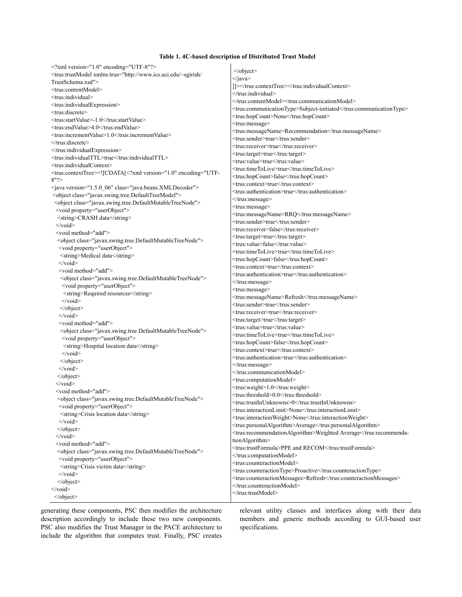#### **Table 1. 4C-based description of Distributed Trust Model**

| xml version="1.0" encoding="UTF-8"?                                                                                                                                          | $\le$ /object>                                                                |
|------------------------------------------------------------------------------------------------------------------------------------------------------------------------------|-------------------------------------------------------------------------------|
| <trus:trustmodel xmlns:trus="http://www.ics.uci.edu/~sgirish/&lt;/td&gt;&lt;td&gt;&lt;/java&gt;&lt;/td&gt;&lt;/tr&gt;&lt;tr&gt;&lt;td&gt;TrustSchema.xsd"></trus:trustmodel> | 1/2 //////trus:contextTree> //trus:individualContext                          |
| <trus:contentmodel></trus:contentmodel>                                                                                                                                      |                                                                               |
| <trus:individual></trus:individual>                                                                                                                                          |                                                                               |
| <trus:individualexpression></trus:individualexpression>                                                                                                                      | <trus:communicationmodel></trus:communicationmodel>                           |
| <trus:discrete></trus:discrete>                                                                                                                                              | <trus:communicationtype>Subject-initiated</trus:communicationtype>            |
| <trus:startvalue>-1.0</trus:startvalue>                                                                                                                                      | <trus:hopcount>None</trus:hopcount>                                           |
| <trus:endvalue>4.0</trus:endvalue>                                                                                                                                           | <trus:message></trus:message>                                                 |
| <trus:incrementvalue>1.0</trus:incrementvalue>                                                                                                                               | <trus:messagename>Recommendation</trus:messagename>                           |
| $\le$ /trus:discrete>                                                                                                                                                        | <trus:sender>true</trus:sender>                                               |
|                                                                                                                                                                              | <trus:receiver>true</trus:receiver>                                           |
| <trus:individualttl>true</trus:individualttl>                                                                                                                                | <trus:target>true</trus:target>                                               |
| <trus:individualcontext></trus:individualcontext>                                                                                                                            | <trus:value>true</trus:value>                                                 |
| <trus:contexttree>&lt;![CDATA[&lt;?xml version="1.0" encoding="UTF-&lt;/td&gt;<td><trus:timetolive>true</trus:timetolive></td></trus:contexttree>                            | <trus:timetolive>true</trus:timetolive>                                       |
| 8"?                                                                                                                                                                          | <trus:hopcount>false</trus:hopcount>                                          |
|                                                                                                                                                                              | <trus:context>true</trus:context>                                             |
| <java class="java.beans.XMLDecoder" version="1.5.0 06"></java>                                                                                                               | <trus:authentication>true</trus:authentication>                               |
| <object class="javax.swing.tree.DefaultTreeModel"></object>                                                                                                                  |                                                                               |
| <object class="javax.swing.tree.DefaultMutableTreeNode"></object>                                                                                                            | <trus:message></trus:message>                                                 |
| <void property="userObject"></void>                                                                                                                                          | <trus:messagename>RRQ</trus:messagename>                                      |
| <string>CRASH data</string>                                                                                                                                                  | <trus:sender>true</trus:sender>                                               |
| $\langle \text{void} \rangle$                                                                                                                                                | <trus:receiver>false</trus:receiver>                                          |
| <void method="add"></void>                                                                                                                                                   | <trus:target>true</trus:target>                                               |
| <object class="javax.swing.tree.DefaultMutableTreeNode"></object>                                                                                                            | <trus:value>false</trus:value>                                                |
| <void property="userObject"></void>                                                                                                                                          | <trus:timetolive>true</trus:timetolive>                                       |
| <string>Medical data</string>                                                                                                                                                | <trus:hopcount>false</trus:hopcount>                                          |
| $\le$ /void>                                                                                                                                                                 | <trus:context>true</trus:context>                                             |
| <void method="add"></void>                                                                                                                                                   | <trus:authentication>true</trus:authentication>                               |
| <object class="javax.swing.tree.DefaultMutableTreeNode"></object>                                                                                                            |                                                                               |
| <void property="userObject"></void>                                                                                                                                          |                                                                               |
| <string>Required resources</string>                                                                                                                                          | <trus:message></trus:message>                                                 |
| $\langle \text{void} \rangle$                                                                                                                                                | <trus:messagename>Refresh</trus:messagename>                                  |
| $\le$ /object>                                                                                                                                                               | <trus:sender>true</trus:sender>                                               |
| $\le$ /void>                                                                                                                                                                 | <trus:receiver>true</trus:receiver>                                           |
| <void method="add"></void>                                                                                                                                                   | <trus:target>true</trus:target>                                               |
| <object class="javax.swing.tree.DefaultMutableTreeNode"></object>                                                                                                            | <trus:value>true</trus:value>                                                 |
| <void property="userObject"></void>                                                                                                                                          | <trus:timetolive>true</trus:timetolive>                                       |
| <string>Hospital location data</string>                                                                                                                                      | <trus:hopcount>false</trus:hopcount>                                          |
| $\langle \text{void} \rangle$                                                                                                                                                | <trus:context>true</trus:context>                                             |
| $\le$ /object>                                                                                                                                                               | <trus:authentication>true</trus:authentication>                               |
| $\le$ /void>                                                                                                                                                                 |                                                                               |
| $\langle$ object>                                                                                                                                                            |                                                                               |
| $\langle \text{void} \rangle$                                                                                                                                                | <trus:computationmodel></trus:computationmodel>                               |
| <void method="add"></void>                                                                                                                                                   | <trus:weight>1.0</trus:weight>                                                |
| <object class="javax.swing.tree.DefaultMutableTreeNode"></object>                                                                                                            | <trus:threshold>0.0</trus:threshold>                                          |
| <void property="userObject"></void>                                                                                                                                          | <trus:trustinunknowns>0</trus:trustinunknowns>                                |
| <string>Crisis location data</string>                                                                                                                                        | <trus:interactionlimit>None</trus:interactionlimit>                           |
|                                                                                                                                                                              | <trus:interactionweight>None</trus:interactionweight>                         |
| $\le$ /void>                                                                                                                                                                 | <trus:personalalgorithm>Average</trus:personalalgorithm>                      |
| $\langle$ object>                                                                                                                                                            | <trus:recommendationalgorithm>Weighted Average</trus:recommendationalgorithm> |
| $\langle \text{void} \rangle$                                                                                                                                                | tionAlgorithm>                                                                |
| <void method="add"></void>                                                                                                                                                   | <trus:trustformula>PPE and RECOM</trus:trustformula>                          |
| <object class="javax.swing.tree.DefaultMutableTreeNode"></object>                                                                                                            |                                                                               |
| <void property="userObject"></void>                                                                                                                                          | <trus:counteractionmodel></trus:counteractionmodel>                           |
| <string>Crisis victim data</string>                                                                                                                                          | <trus:counteractiontype>Proactive</trus:counteractiontype>                    |
| $\le$ /void>                                                                                                                                                                 | <trus:counteractionmessages>Refresh</trus:counteractionmessages>              |
| $\le$ /object>                                                                                                                                                               |                                                                               |
| $\langle \text{void} \rangle$                                                                                                                                                |                                                                               |
|                                                                                                                                                                              |                                                                               |

generating these components, PSC then modifies the architecture description accordingly to include these two new components. PSC also modifies the Trust Manager in the PACE architecture to include the algorithm that computes trust. Finally, PSC creates

relevant utility classes and interfaces along with their data members and generic methods according to GUI-based user specifications.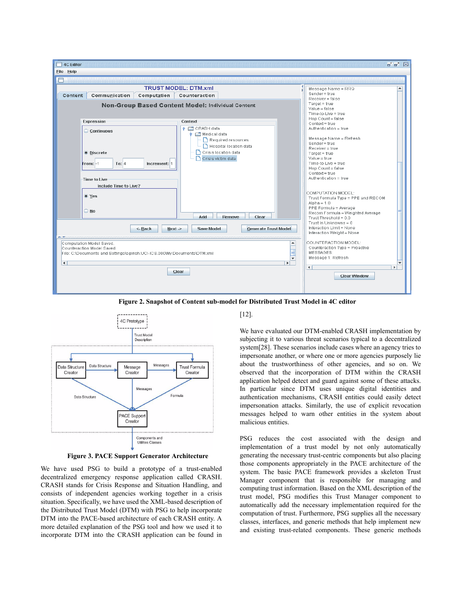

**Figure 2. Snapshot of Content sub-model for Distributed Trust Model in 4C editor**



**Figure 3. PACE Support Generator Architecture**

We have used PSG to build a prototype of a trust-enabled decentralized emergency response application called CRASH. CRASH stands for Crisis Response and Situation Handling, and consists of independent agencies working together in a crisis situation. Specifically, we have used the XML-based description of the Distributed Trust Model (DTM) with PSG to help incorporate DTM into the PACE-based architecture of each CRASH entity. A more detailed explanation of the PSG tool and how we used it to incorporate DTM into the CRASH application can be found in

[12].

We have evaluated our DTM-enabled CRASH implementation by subjecting it to various threat scenarios typical to a decentralized system[28]. These scenarios include cases where an agency tries to impersonate another, or where one or more agencies purposely lie about the trustworthiness of other agencies, and so on. We observed that the incorporation of DTM within the CRASH application helped detect and guard against some of these attacks. In particular since DTM uses unique digital identities and authentication mechanisms, CRASH entities could easily detect impersonation attacks. Similarly, the use of explicit revocation messages helped to warn other entities in the system about malicious entities.

PSG reduces the cost associated with the design and implementation of a trust model by not only automatically generating the necessary trust-centric components but also placing those components appropriately in the PACE architecture of the system. The basic PACE framework provides a skeleton Trust Manager component that is responsible for managing and computing trust information. Based on the XML description of the trust model, PSG modifies this Trust Manager component to automatically add the necessary implementation required for the computation of trust. Furthermore, PSG supplies all the necessary classes, interfaces, and generic methods that help implement new and existing trust-related components. These generic methods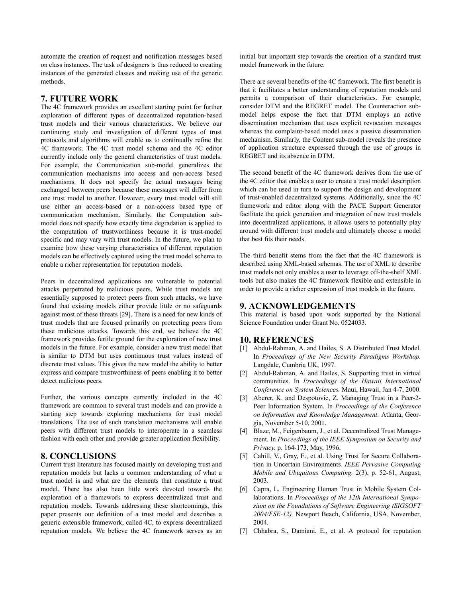automate the creation of request and notification messages based on class instances. The task of designers is thus reduced to creating instances of the generated classes and making use of the generic methods.

## **7. FUTURE WORK**

The 4C framework provides an excellent starting point for further exploration of different types of decentralized reputation-based trust models and their various characteristics. We believe our continuing study and investigation of different types of trust protocols and algorithms will enable us to continually refine the 4C framework. The 4C trust model schema and the 4C editor currently include only the general characteristics of trust models. For example, the Communication sub-model generalizes the communication mechanisms into access and non-access based mechanisms. It does not specify the actual messages being exchanged between peers because these messages will differ from one trust model to another. However, every trust model will still use either an access-based or a non-access based type of communication mechanism. Similarly, the Computation submodel does not specify how exactly time degradation is applied to the computation of trustworthiness because it is trust-model specific and may vary with trust models. In the future, we plan to examine how these varying characteristics of different reputation models can be effectively captured using the trust model schema to enable a richer representation for reputation models.

Peers in decentralized applications are vulnerable to potential attacks perpetrated by malicious peers. While trust models are essentially supposed to protect peers from such attacks, we have found that existing models either provide little or no safeguards against most of these threats [29]. There is a need for new kinds of trust models that are focused primarily on protecting peers from these malicious attacks. Towards this end, we believe the 4C framework provides fertile ground for the exploration of new trust models in the future. For example, consider a new trust model that is similar to DTM but uses continuous trust values instead of discrete trust values. This gives the new model the ability to better express and compare trustworthiness of peers enabling it to better detect malicious peers.

Further, the various concepts currently included in the 4C framework are common to several trust models and can provide a starting step towards exploring mechanisms for trust model translations. The use of such translation mechanisms will enable peers with different trust models to interoperate in a seamless fashion with each other and provide greater application flexibility.

## **8. CONCLUSIONS**

Current trust literature has focused mainly on developing trust and reputation models but lacks a common understanding of what a trust model is and what are the elements that constitute a trust model. There has also been little work devoted towards the exploration of a framework to express decentralized trust and reputation models. Towards addressing these shortcomings, this paper presents our definition of a trust model and describes a generic extensible framework, called 4C, to express decentralized reputation models. We believe the 4C framework serves as an

initial but important step towards the creation of a standard trust model framework in the future.

There are several benefits of the 4C framework. The first benefit is that it facilitates a better understanding of reputation models and permits a comparison of their characteristics. For example, consider DTM and the REGRET model. The Counteraction submodel helps expose the fact that DTM employs an active dissemination mechanism that uses explicit revocation messages whereas the complaint-based model uses a passive dissemination mechanism. Similarly, the Content sub-model reveals the presence of application structure expressed through the use of groups in REGRET and its absence in DTM.

The second benefit of the 4C framework derives from the use of the 4C editor that enables a user to create a trust model description which can be used in turn to support the design and development of trust-enabled decentralized systems. Additionally, since the 4C framework and editor along with the PACE Support Generator facilitate the quick generation and integration of new trust models into decentralized applications, it allows users to potentially play around with different trust models and ultimately choose a model that best fits their needs.

The third benefit stems from the fact that the 4C framework is described using XML-based schemas. The use of XML to describe trust models not only enables a user to leverage off-the-shelf XML tools but also makes the 4C framework flexible and extensible in order to provide a richer expression of trust models in the future.

## **9. ACKNOWLEDGEMENTS**

This material is based upon work supported by the National Science Foundation under Grant No. 0524033.

# **10. REFERENCES**

- [1] Abdul-Rahman, A. and Hailes, S. A Distributed Trust Model. In *Proceedings of the New Security Paradigms Workshop.* Langdale, Cumbria UK, 1997.
- [2] Abdul-Rahman, A. and Hailes, S. Supporting trust in virtual communities. In *Proceedings of the Hawaii International Conference on System Sciences.* Maui, Hawaii, Jan 4-7, 2000.
- [3] Aberer, K. and Despotovic, Z. Managing Trust in a Peer-2- Peer Information System. In *Proceedings of the Conference on Information and Knowledge Management.* Atlanta, Georgia, November 5-10, 2001.
- [4] Blaze, M., Feigenbaum, J., et al. Decentralized Trust Management. In *Proceedings of the IEEE Symposium on Security and Privacy.* p. 164-173, May, 1996.
- [5] Cahill, V., Gray, E., et al. Using Trust for Secure Collaboration in Uncertain Environments*. IEEE Pervasive Computing Mobile and Ubiquitous Computing.* 2(3), p. 52-61, August, 2003.
- [6] Capra, L. Engineering Human Trust in Mobile System Collaborations. In *Proceedings of the 12th International Symposium on the Foundations of Software Engineering (SIGSOFT 2004/FSE-12).* Newport Beach, California, USA, November, 2004.
- [7] Chhabra, S., Damiani, E., et al. A protocol for reputation